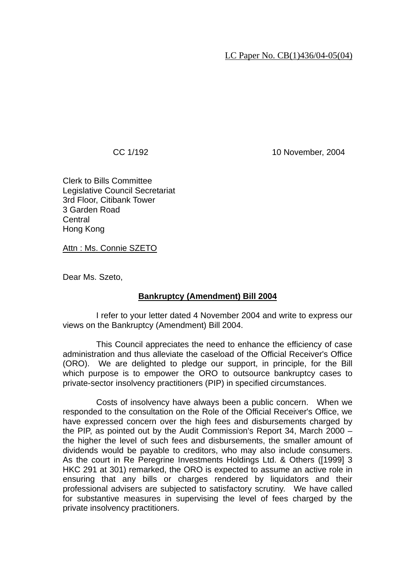## LC Paper No. CB(1)436/04-05(04)

CC 1/192 10 November, 2004

Clerk to Bills Committee Legislative Council Secretariat 3rd Floor, Citibank Tower 3 Garden Road Central Hong Kong

Attn : Ms. Connie SZETO

Dear Ms. Szeto,

## **Bankruptcy (Amendment) Bill 2004**

 I refer to your letter dated 4 November 2004 and write to express our views on the Bankruptcy (Amendment) Bill 2004.

 This Council appreciates the need to enhance the efficiency of case administration and thus alleviate the caseload of the Official Receiver's Office (ORO). We are delighted to pledge our support, in principle, for the Bill which purpose is to empower the ORO to outsource bankruptcy cases to private-sector insolvency practitioners (PIP) in specified circumstances.

 Costs of insolvency have always been a public concern. When we responded to the consultation on the Role of the Official Receiver's Office, we have expressed concern over the high fees and disbursements charged by the PIP, as pointed out by the Audit Commission's Report 34, March 2000 – the higher the level of such fees and disbursements, the smaller amount of dividends would be payable to creditors, who may also include consumers. As the court in Re Peregrine Investments Holdings Ltd. & Others ([1999] 3 HKC 291 at 301) remarked, the ORO is expected to assume an active role in ensuring that any bills or charges rendered by liquidators and their professional advisers are subjected to satisfactory scrutiny. We have called for substantive measures in supervising the level of fees charged by the private insolvency practitioners.